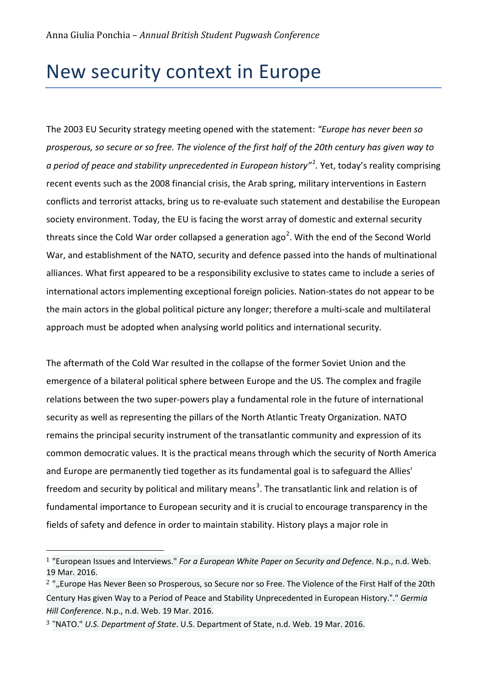# New security context in Europe

The 2003 EU Security strategy meeting opened with the statement: *"Europe has never been so prosperous, so secure or so free. The violence of the first half of the 20th century has given way to a period of peace and stability unprecedented in European history"[1](#page-0-0) .* Yet, today's reality comprising recent events such as the 2008 financial crisis, the Arab spring, military interventions in Eastern conflicts and terrorist attacks, bring us to re-evaluate such statement and destabilise the European society environment. Today, the EU is facing the worst array of domestic and external security threats since the Cold War order collapsed a generation ago<sup>[2](#page-0-1)</sup>. With the end of the Second World War, and establishment of the NATO, security and defence passed into the hands of multinational alliances. What first appeared to be a responsibility exclusive to states came to include a series of international actors implementing exceptional foreign policies. Nation-states do not appear to be the main actors in the global political picture any longer; therefore a multi-scale and multilateral approach must be adopted when analysing world politics and international security.

The aftermath of the Cold War resulted in the collapse of the former Soviet Union and the emergence of a bilateral political sphere between Europe and the US. The complex and fragile relations between the two super-powers play a fundamental role in the future of international security as well as representing the pillars of the North Atlantic Treaty Organization. NATO remains the principal security instrument of the transatlantic community and expression of its common democratic values. It is the practical means through which the security of North America and Europe are permanently tied together as its fundamental goal is to safeguard the Allies' freedom and security by political and military means<sup>[3](#page-0-2)</sup>. The transatlantic link and relation is of fundamental importance to European security and it is crucial to encourage transparency in the fields of safety and defence in order to maintain stability. History plays a major role in

<span id="page-0-0"></span> <sup>1</sup> "European Issues and Interviews." *For a European White Paper on Security and Defence*. N.p., n.d. Web. 19 Mar. 2016.

<span id="page-0-1"></span><sup>&</sup>lt;sup>2</sup> ",,Europe Has Never Been so Prosperous, so Secure nor so Free. The Violence of the First Half of the 20th Century Has given Way to a Period of Peace and Stability Unprecedented in European History."." *Germia Hill Conference*. N.p., n.d. Web. 19 Mar. 2016.

<span id="page-0-2"></span><sup>3</sup> "NATO." *U.S. Department of State*. U.S. Department of State, n.d. Web. 19 Mar. 2016.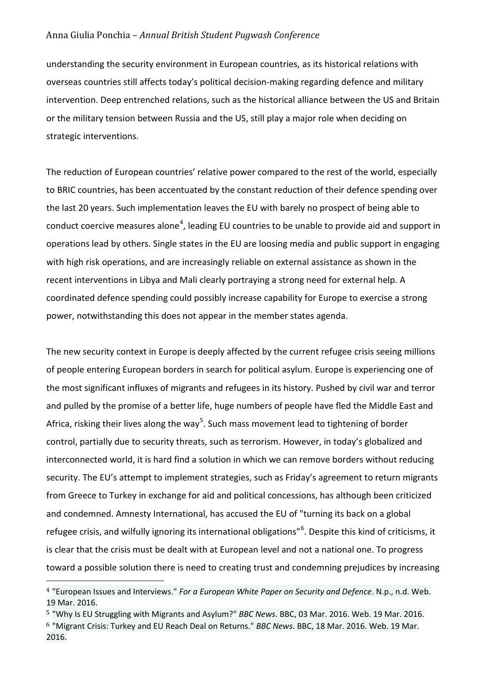#### Anna Giulia Ponchia – *Annual British Student Pugwash Conference*

understanding the security environment in European countries, as its historical relations with overseas countries still affects today's political decision-making regarding defence and military intervention. Deep entrenched relations, such as the historical alliance between the US and Britain or the military tension between Russia and the US, still play a major role when deciding on strategic interventions.

The reduction of European countries' relative power compared to the rest of the world, especially to BRIC countries, has been accentuated by the constant reduction of their defence spending over the last 20 years. Such implementation leaves the EU with barely no prospect of being able to conduct coercive measures alone<sup>[4](#page-1-0)</sup>, leading EU countries to be unable to provide aid and support in operations lead by others. Single states in the EU are loosing media and public support in engaging with high risk operations, and are increasingly reliable on external assistance as shown in the recent interventions in Libya and Mali clearly portraying a strong need for external help. A coordinated defence spending could possibly increase capability for Europe to exercise a strong power, notwithstanding this does not appear in the member states agenda.

The new security context in Europe is deeply affected by the current refugee crisis seeing millions of people entering European borders in search for political asylum. Europe is experiencing one of the most significant influxes of migrants and refugees in its history. Pushed by civil war and terror and pulled by the promise of a better life, huge numbers of people have fled the Middle East and Africa, risking their lives along the way<sup>[5](#page-1-1)</sup>. Such mass movement lead to tightening of border control, partially due to security threats, such as terrorism. However, in today's globalized and interconnected world, it is hard find a solution in which we can remove borders without reducing security. The EU's attempt to implement strategies, such as Friday's agreement to return migrants from Greece to Turkey in exchange for aid and political concessions, has although been criticized and condemned. Amnesty International, has accused the EU of "turning its back on a global refugee crisis, and wilfully ignoring its international obligations"<sup>[6](#page-1-2)</sup>. Despite this kind of criticisms, it is clear that the crisis must be dealt with at European level and not a national one. To progress toward a possible solution there is need to creating trust and condemning prejudices by increasing

<span id="page-1-0"></span> <sup>4</sup> "European Issues and Interviews." *For a European White Paper on Security and Defence*. N.p., n.d. Web. 19 Mar. 2016.

<span id="page-1-2"></span><span id="page-1-1"></span><sup>5</sup> "Why Is EU Struggling with Migrants and Asylum?" *BBC News*. BBC, 03 Mar. 2016. Web. 19 Mar. 2016. 6 "Migrant Crisis: Turkey and EU Reach Deal on Returns." *BBC News*. BBC, 18 Mar. 2016. Web. 19 Mar. 2016.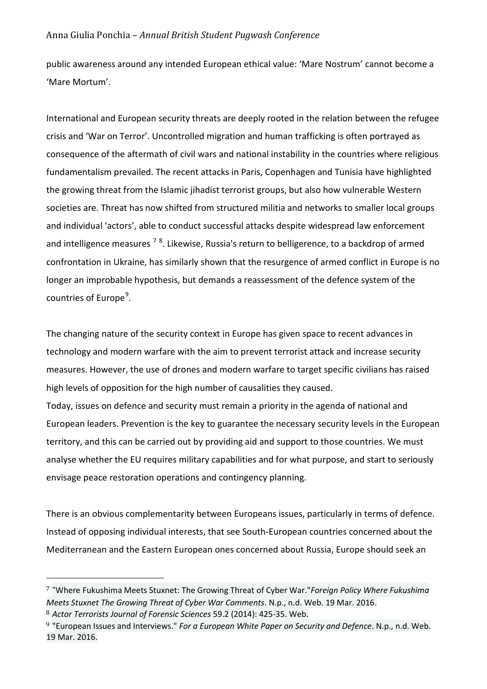#### Anna Giulia Ponchia – *Annual British Student Pugwash Conference*

public awareness around any intended European ethical value: 'Mare Nostrum' cannot become a 'Mare Mortum'.

International and European security threats are deeply rooted in the relation between the refugee crisis and 'War on Terror'. Uncontrolled migration and human trafficking is often portrayed as consequence of the aftermath of civil wars and national instability in the countries where religious fundamentalism prevailed. The recent attacks in Paris, Copenhagen and Tunisia have highlighted the growing threat from the Islamic jihadist terrorist groups, but also how vulnerable Western societies are. Threat has now shifted from structured militia and networks to smaller local groups and individual 'actors', able to conduct successful attacks despite widespread law enforcement and intelligence measures <sup>[7](#page-2-0) [8](#page-2-1)</sup>. Likewise, Russia's return to belligerence, to a backdrop of armed confrontation in Ukraine, has similarly shown that the resurgence of armed conflict in Europe is no longer an improbable hypothesis, but demands a reassessment of the defence system of the countries of Europe<sup>[9](#page-2-2)</sup>.

The changing nature of the security context in Europe has given space to recent advances in technology and modern warfare with the aim to prevent terrorist attack and increase security measures. However, the use of drones and modern warfare to target specific civilians has raised high levels of opposition for the high number of causalities they caused.

Today, issues on defence and security must remain a priority in the agenda of national and European leaders. Prevention is the key to guarantee the necessary security levels in the European territory, and this can be carried out by providing aid and support to those countries. We must analyse whether the EU requires military capabilities and for what purpose, and start to seriously envisage peace restoration operations and contingency planning.

There is an obvious complementarity between Europeans issues, particularly in terms of defence. Instead of opposing individual interests, that see South-European countries concerned about the Mediterranean and the Eastern European ones concerned about Russia, Europe should seek an

i<br>I

<span id="page-2-0"></span><sup>7</sup> "Where Fukushima Meets Stuxnet: The Growing Threat of Cyber War."*Foreign Policy Where Fukushima Meets Stuxnet The Growing Threat of Cyber War Comments*. N.p., n.d. Web. 19 Mar. 2016.

<span id="page-2-1"></span><sup>8</sup> *Actor Terrorists Journal of Forensic Sciences* 59.2 (2014): 425-35. Web.

<span id="page-2-2"></span><sup>9</sup> "European Issues and Interviews." *For a European White Paper on Security and Defence*. N.p., n.d. Web. 19 Mar. 2016.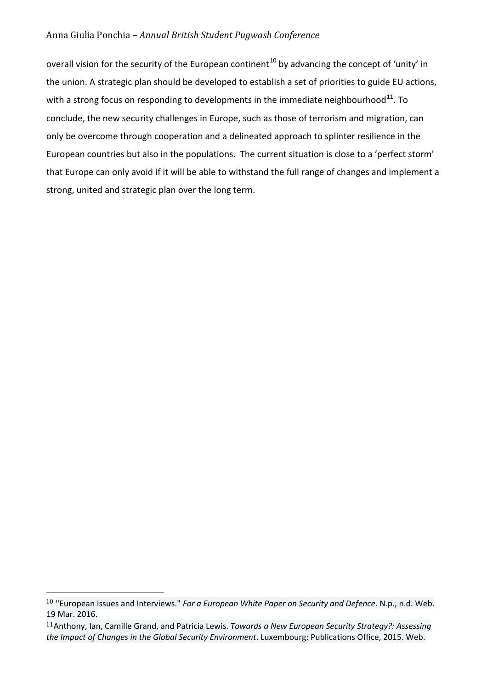### Anna Giulia Ponchia – *Annual British Student Pugwash Conference*

overall vision for the security of the European continent<sup>[10](#page-3-0)</sup> by advancing the concept of 'unity' in the union. A strategic plan should be developed to establish a set of priorities to guide EU actions, with a strong focus on responding to developments in the immediate neighbourhood<sup>11</sup>. To conclude, the new security challenges in Europe, such as those of terrorism and migration, can only be overcome through cooperation and a delineated approach to splinter resilience in the European countries but also in the populations. The current situation is close to a 'perfect storm' that Europe can only avoid if it will be able to withstand the full range of changes and implement a strong, united and strategic plan over the long term.

<span id="page-3-0"></span> <sup>10</sup> "European Issues and Interviews." *For a European White Paper on Security and Defence*. N.p., n.d. Web. 19 Mar. 2016.

<span id="page-3-1"></span><sup>11</sup>Anthony, Ian, Camille Grand, and Patricia Lewis. *Towards a New European Security Strategy?: Assessing the Impact of Changes in the Global Security Environment*. Luxembourg: Publications Office, 2015. Web.